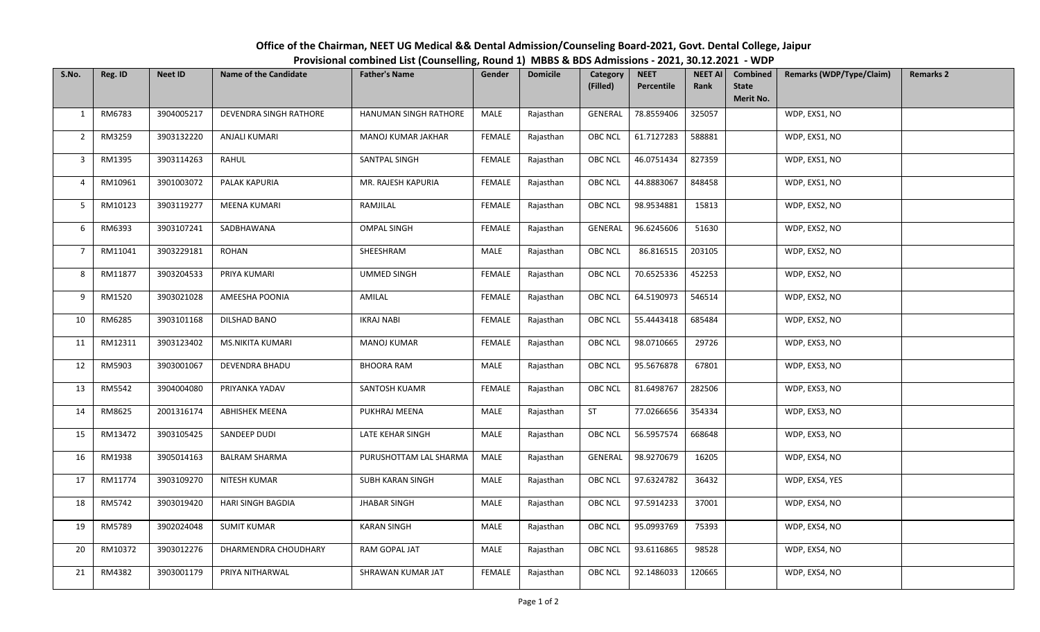| S.No.          | Reg. ID | <b>Neet ID</b> | <b>Name of the Candidate</b> | <b>Father's Name</b>   | Gender        | <b>Domicile</b> | Category<br>(Filled) | <b>NEET</b><br>Percentile | <b>NEET AI</b><br>Rank | Combined<br><b>State</b><br>Merit No. | <b>Remarks (WDP/Type/Claim)</b> | <b>Remarks 2</b> |
|----------------|---------|----------------|------------------------------|------------------------|---------------|-----------------|----------------------|---------------------------|------------------------|---------------------------------------|---------------------------------|------------------|
| 1              | RM6783  | 3904005217     | DEVENDRA SINGH RATHORE       | HANUMAN SINGH RATHORE  | MALE          | Rajasthan       | GENERAL              | 78.8559406                | 325057                 |                                       | WDP, EXS1, NO                   |                  |
| 2              | RM3259  | 3903132220     | ANJALI KUMARI                | MANOJ KUMAR JAKHAR     | <b>FEMALE</b> | Rajasthan       | OBC NCL              | 61.7127283                | 588881                 |                                       | WDP, EXS1, NO                   |                  |
| 3              | RM1395  | 3903114263     | RAHUL                        | SANTPAL SINGH          | FEMALE        | Rajasthan       | <b>OBC NCL</b>       | 46.0751434                | 827359                 |                                       | WDP, EXS1, NO                   |                  |
| 4              | RM10961 | 3901003072     | PALAK KAPURIA                | MR. RAJESH KAPURIA     | <b>FEMALE</b> | Rajasthan       | OBC NCL              | 44.8883067                | 848458                 |                                       | WDP, EXS1, NO                   |                  |
| 5              | RM10123 | 3903119277     | MEENA KUMARI                 | RAMJILAL               | <b>FEMALE</b> | Rajasthan       | OBC NCL              | 98.9534881                | 15813                  |                                       | WDP, EXS2, NO                   |                  |
| 6              | RM6393  | 3903107241     | SADBHAWANA                   | <b>OMPAL SINGH</b>     | FEMALE        | Rajasthan       | GENERAL              | 96.6245606                | 51630                  |                                       | WDP, EXS2, NO                   |                  |
| $\overline{7}$ | RM11041 | 3903229181     | ROHAN                        | SHEESHRAM              | MALE          | Rajasthan       | <b>OBC NCL</b>       | 86.816515                 | 203105                 |                                       | WDP, EXS2, NO                   |                  |
| 8              | RM11877 | 3903204533     | PRIYA KUMARI                 | <b>UMMED SINGH</b>     | <b>FEMALE</b> | Rajasthan       | OBC NCL              | 70.6525336                | 452253                 |                                       | WDP, EXS2, NO                   |                  |
| 9              | RM1520  | 3903021028     | AMEESHA POONIA               | AMILAL                 | <b>FEMALE</b> | Rajasthan       | OBC NCL              | 64.5190973                | 546514                 |                                       | WDP, EXS2, NO                   |                  |
| 10             | RM6285  | 3903101168     | DILSHAD BANO                 | <b>IKRAJ NABI</b>      | <b>FEMALE</b> | Rajasthan       | OBC NCL              | 55.4443418                | 685484                 |                                       | WDP, EXS2, NO                   |                  |
| 11             | RM12311 | 3903123402     | MS.NIKITA KUMARI             | <b>MANOJ KUMAR</b>     | <b>FEMALE</b> | Rajasthan       | OBC NCL              | 98.0710665                | 29726                  |                                       | WDP, EXS3, NO                   |                  |
| 12             | RM5903  | 3903001067     | DEVENDRA BHADU               | <b>BHOORA RAM</b>      | MALE          | Rajasthan       | OBC NCL              | 95.5676878                | 67801                  |                                       | WDP, EXS3, NO                   |                  |
| 13             | RM5542  | 3904004080     | PRIYANKA YADAV               | SANTOSH KUAMR          | <b>FEMALE</b> | Rajasthan       | OBC NCL              | 81.6498767                | 282506                 |                                       | WDP, EXS3, NO                   |                  |
| 14             | RM8625  | 2001316174     | <b>ABHISHEK MEENA</b>        | PUKHRAJ MEENA          | MALE          | Rajasthan       | ST                   | 77.0266656                | 354334                 |                                       | WDP, EXS3, NO                   |                  |
| 15             | RM13472 | 3903105425     | SANDEEP DUDI                 | LATE KEHAR SINGH       | MALE          | Rajasthan       | OBC NCL              | 56.5957574                | 668648                 |                                       | WDP, EXS3, NO                   |                  |
| 16             | RM1938  | 3905014163     | <b>BALRAM SHARMA</b>         | PURUSHOTTAM LAL SHARMA | MALE          | Rajasthan       | GENERAL              | 98.9270679                | 16205                  |                                       | WDP, EXS4, NO                   |                  |
| 17             | RM11774 | 3903109270     | NITESH KUMAR                 | SUBH KARAN SINGH       | MALE          | Rajasthan       | OBC NCL              | 97.6324782                | 36432                  |                                       | WDP, EXS4, YES                  |                  |
| 18             | RM5742  | 3903019420     | HARI SINGH BAGDIA            | <b>JHABAR SINGH</b>    | MALE          | Rajasthan       | <b>OBC NCL</b>       | 97.5914233                | 37001                  |                                       | WDP, EXS4, NO                   |                  |
| 19             | RM5789  | 3902024048     | <b>SUMIT KUMAR</b>           | <b>KARAN SINGH</b>     | MALE          | Rajasthan       | OBC NCL              | 95.0993769                | 75393                  |                                       | WDP, EXS4, NO                   |                  |
| 20             | RM10372 | 3903012276     | DHARMENDRA CHOUDHARY         | RAM GOPAL JAT          | MALE          | Rajasthan       | OBC NCL              | 93.6116865                | 98528                  |                                       | WDP, EXS4, NO                   |                  |
| 21             | RM4382  | 3903001179     | PRIYA NITHARWAL              | SHRAWAN KUMAR JAT      | FEMALE        | Rajasthan       | OBC NCL              | 92.1486033                | 120665                 |                                       | WDP, EXS4, NO                   |                  |

## Office of the Chairman, NEET UG Medical && Dental Admission/Counseling Board-2021, Govt. Dental College, JaipurProvisional combined List (Counselling, Round 1) MBBS & BDS Admissions - 2021, 30.12.2021 - WDP